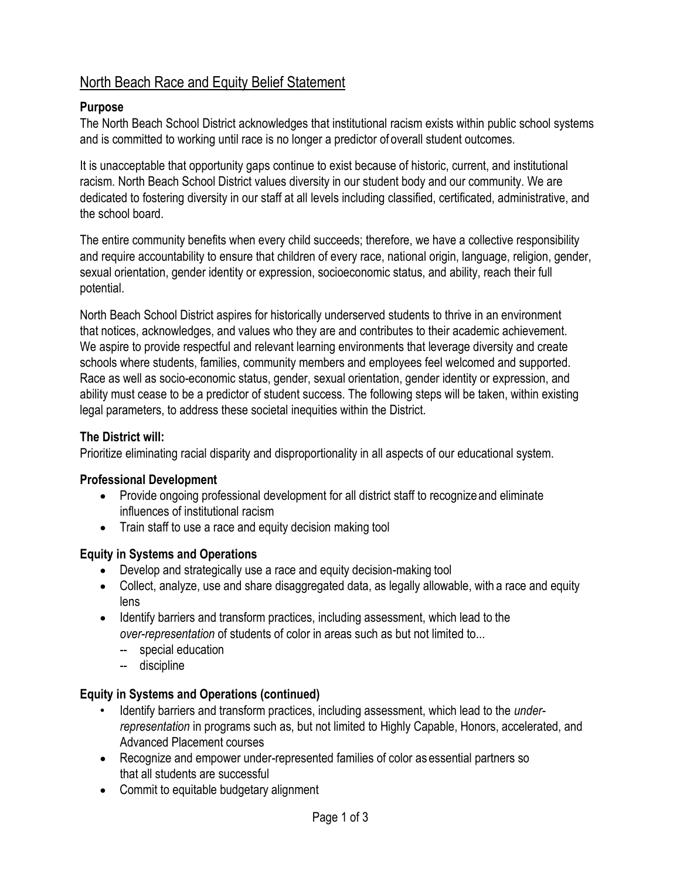# North Beach Race and Equity Belief Statement

### **Purpose**

The North Beach School District acknowledges that institutional racism exists within public school systems and is committed to working until race is no longer a predictor of overall student outcomes.

It is unacceptable that opportunity gaps continue to exist because of historic, current, and institutional racism. North Beach School District values diversity in our student body and our community. We are dedicated to fostering diversity in our staff at all levels including classified, certificated, administrative, and the school board.

The entire community benefits when every child succeeds; therefore, we have a collective responsibility and require accountability to ensure that children of every race, national origin, language, religion, gender, sexual orientation, gender identity or expression, socioeconomic status, and ability, reach their full potential.

North Beach School District aspires for historically underserved students to thrive in an environment that notices, acknowledges, and values who they are and contributes to their academic achievement. We aspire to provide respectful and relevant learning environments that leverage diversity and create schools where students, families, community members and employees feel welcomed and supported. Race as well as socio-economic status, gender, sexual orientation, gender identity or expression, and ability must cease to be a predictor of student success. The following steps will be taken, within existing legal parameters, to address these societal inequities within the District.

### **The District will:**

Prioritize eliminating racial disparity and disproportionality in all aspects of our educational system.

#### **Professional Development**

- Provide ongoing professional development for all district staff to recognize and eliminate influences of institutional racism
- Train staff to use a race and equity decision making tool

# **Equity in Systems and Operations**

- Develop and strategically use a race and equity decision-making tool
- Collect, analyze, use and share disaggregated data, as legally allowable, with a race and equity lens
- Identify barriers and transform practices, including assessment, which lead to the *over-representation* of students of color in areas such as but not limited to...
	- -- special education
	- -- discipline

# **Equity in Systems and Operations (continued)**

- Identify barriers and transform practices, including assessment, which lead to the *underrepresentation* in programs such as, but not limited to Highly Capable, Honors, accelerated, and Advanced Placement courses
- Recognize and empower under-represented families of color as essential partners so that all students are successful
- Commit to equitable budgetary alignment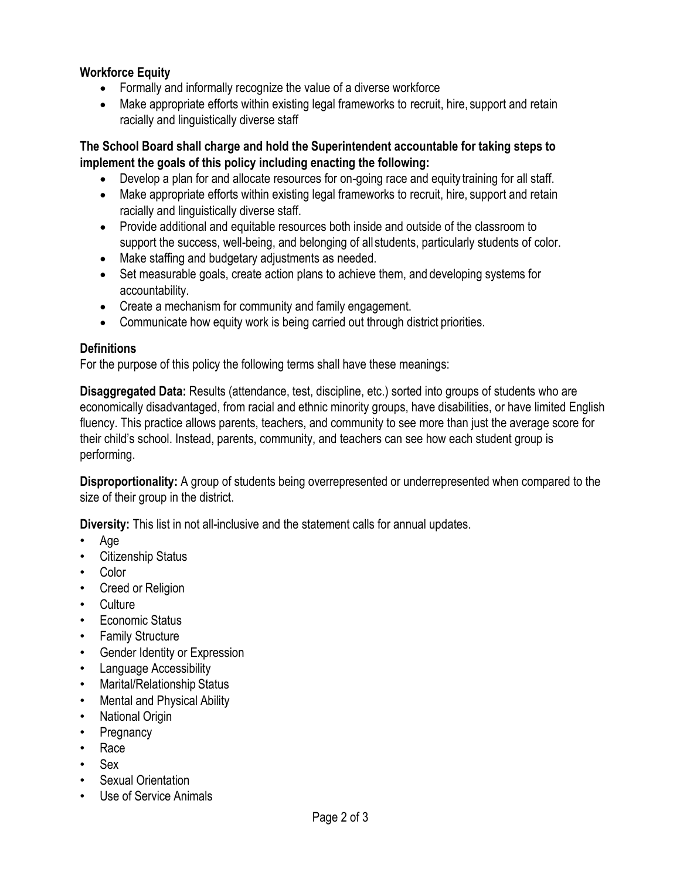#### **Workforce Equity**

- Formally and informally recognize the value of a diverse workforce
- Make appropriate efforts within existing legal frameworks to recruit, hire, support and retain racially and linguistically diverse staff

**The School Board shall charge and hold the Superintendent accountable for taking steps to implement the goals of this policy including enacting the following:**

- Develop a plan for and allocate resources for on-going race and equity training for all staff.
- Make appropriate efforts within existing legal frameworks to recruit, hire, support and retain racially and linguistically diverse staff.
- Provide additional and equitable resources both inside and outside of the classroom to support the success, well-being, and belonging of all students, particularly students of color.
- Make staffing and budgetary adjustments as needed.
- Set measurable goals, create action plans to achieve them, and developing systems for accountability.
- Create a mechanism for community and family engagement.
- Communicate how equity work is being carried out through district priorities.

#### **Definitions**

For the purpose of this policy the following terms shall have these meanings:

**Disaggregated Data:** Results (attendance, test, discipline, etc.) sorted into groups of students who are economically disadvantaged, from racial and ethnic minority groups, have disabilities, or have limited English fluency. This practice allows parents, teachers, and community to see more than just the average score for their child's school. Instead, parents, community, and teachers can see how each student group is performing.

**Disproportionality:** A group of students being overrepresented or underrepresented when compared to the size of their group in the district.

**Diversity:** This list in not all-inclusive and the statement calls for annual updates.

- Age
- Citizenship Status
- Color
- Creed or Religion
- Culture
- Economic Status
- Family Structure
- Gender Identity or Expression
- Language Accessibility
- Marital/Relationship Status
- Mental and Physical Ability
- National Origin
- **Pregnancy**
- Race
- Sex
- **Sexual Orientation**
- Use of Service Animals